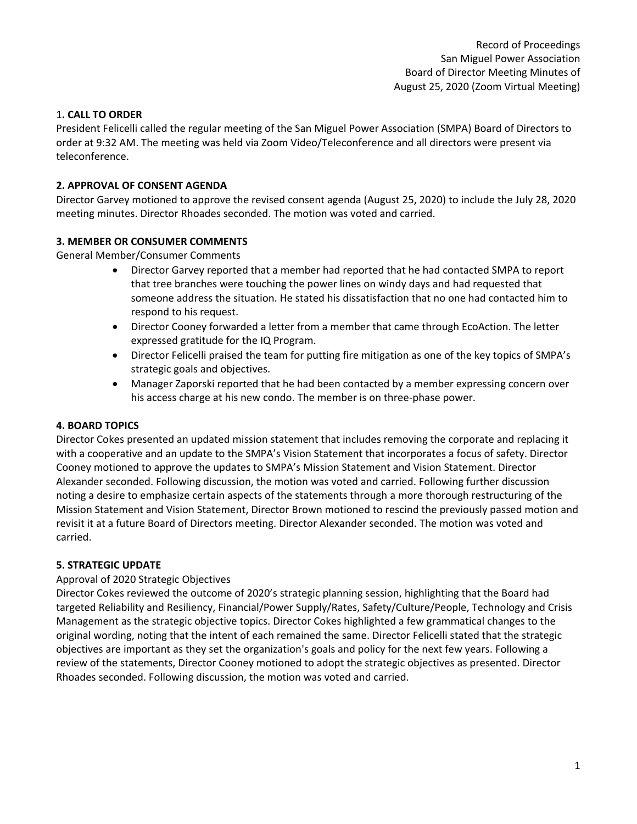# 1**. CALL TO ORDER**

President Felicelli called the regular meeting of the San Miguel Power Association (SMPA) Board of Directors to order at 9:32 AM. The meeting was held via Zoom Video/Teleconference and all directors were present via teleconference.

# **2. APPROVAL OF CONSENT AGENDA**

Director Garvey motioned to approve the revised consent agenda (August 25, 2020) to include the July 28, 2020 meeting minutes. Director Rhoades seconded. The motion was voted and carried.

# **3. MEMBER OR CONSUMER COMMENTS**

General Member/Consumer Comments

- Director Garvey reported that a member had reported that he had contacted SMPA to report that tree branches were touching the power lines on windy days and had requested that someone address the situation. He stated his dissatisfaction that no one had contacted him to respond to his request.
- Director Cooney forwarded a letter from a member that came through EcoAction. The letter expressed gratitude for the IQ Program.
- Director Felicelli praised the team for putting fire mitigation as one of the key topics of SMPA's strategic goals and objectives.
- Manager Zaporski reported that he had been contacted by a member expressing concern over his access charge at his new condo. The member is on three-phase power.

# **4. BOARD TOPICS**

Director Cokes presented an updated mission statement that includes removing the corporate and replacing it with a cooperative and an update to the SMPA's Vision Statement that incorporates a focus of safety. Director Cooney motioned to approve the updates to SMPA's Mission Statement and Vision Statement. Director Alexander seconded. Following discussion, the motion was voted and carried. Following further discussion noting a desire to emphasize certain aspects of the statements through a more thorough restructuring of the Mission Statement and Vision Statement, Director Brown motioned to rescind the previously passed motion and revisit it at a future Board of Directors meeting. Director Alexander seconded. The motion was voted and carried.

# **5. STRATEGIC UPDATE**

# Approval of 2020 Strategic Objectives

Director Cokes reviewed the outcome of 2020's strategic planning session, highlighting that the Board had targeted Reliability and Resiliency, Financial/Power Supply/Rates, Safety/Culture/People, Technology and Crisis Management as the strategic objective topics. Director Cokes highlighted a few grammatical changes to the original wording, noting that the intent of each remained the same. Director Felicelli stated that the strategic objectives are important as they set the organization's goals and policy for the next few years. Following a review of the statements, Director Cooney motioned to adopt the strategic objectives as presented. Director Rhoades seconded. Following discussion, the motion was voted and carried.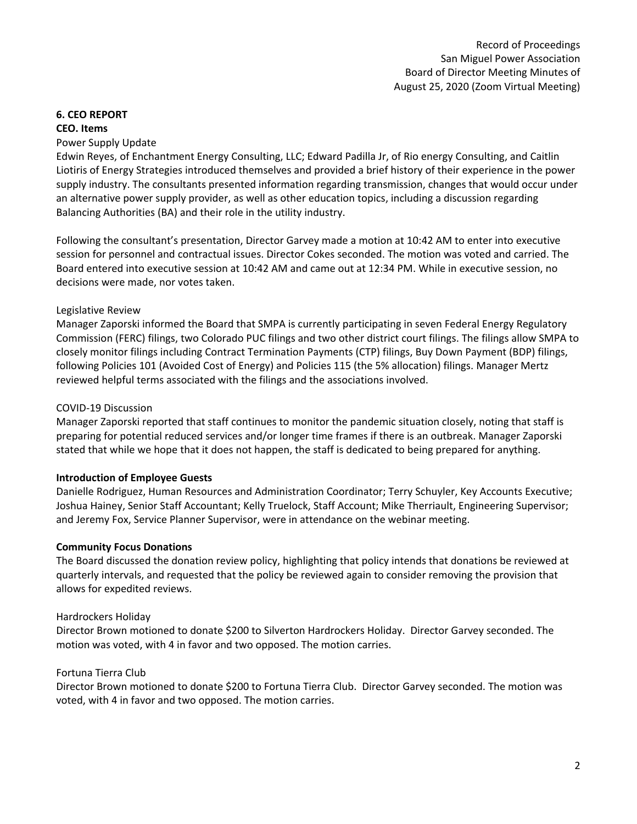# **6. CEO REPORT**

#### **CEO. Items**

#### Power Supply Update

Edwin Reyes, of Enchantment Energy Consulting, LLC; Edward Padilla Jr, of Rio energy Consulting, and Caitlin Liotiris of Energy Strategies introduced themselves and provided a brief history of their experience in the power supply industry. The consultants presented information regarding transmission, changes that would occur under an alternative power supply provider, as well as other education topics, including a discussion regarding Balancing Authorities (BA) and their role in the utility industry.

Following the consultant's presentation, Director Garvey made a motion at 10:42 AM to enter into executive session for personnel and contractual issues. Director Cokes seconded. The motion was voted and carried. The Board entered into executive session at 10:42 AM and came out at 12:34 PM. While in executive session, no decisions were made, nor votes taken.

#### Legislative Review

Manager Zaporski informed the Board that SMPA is currently participating in seven Federal Energy Regulatory Commission (FERC) filings, two Colorado PUC filings and two other district court filings. The filings allow SMPA to closely monitor filings including Contract Termination Payments (CTP) filings, Buy Down Payment (BDP) filings, following Policies 101 (Avoided Cost of Energy) and Policies 115 (the 5% allocation) filings. Manager Mertz reviewed helpful terms associated with the filings and the associations involved.

#### COVID-19 Discussion

Manager Zaporski reported that staff continues to monitor the pandemic situation closely, noting that staff is preparing for potential reduced services and/or longer time frames if there is an outbreak. Manager Zaporski stated that while we hope that it does not happen, the staff is dedicated to being prepared for anything.

# **Introduction of Employee Guests**

Danielle Rodriguez, Human Resources and Administration Coordinator; Terry Schuyler, Key Accounts Executive; Joshua Hainey, Senior Staff Accountant; Kelly Truelock, Staff Account; Mike Therriault, Engineering Supervisor; and Jeremy Fox, Service Planner Supervisor, were in attendance on the webinar meeting.

# **Community Focus Donations**

The Board discussed the donation review policy, highlighting that policy intends that donations be reviewed at quarterly intervals, and requested that the policy be reviewed again to consider removing the provision that allows for expedited reviews.

#### Hardrockers Holiday

Director Brown motioned to donate \$200 to Silverton Hardrockers Holiday. Director Garvey seconded. The motion was voted, with 4 in favor and two opposed. The motion carries.

#### Fortuna Tierra Club

Director Brown motioned to donate \$200 to Fortuna Tierra Club. Director Garvey seconded. The motion was voted, with 4 in favor and two opposed. The motion carries.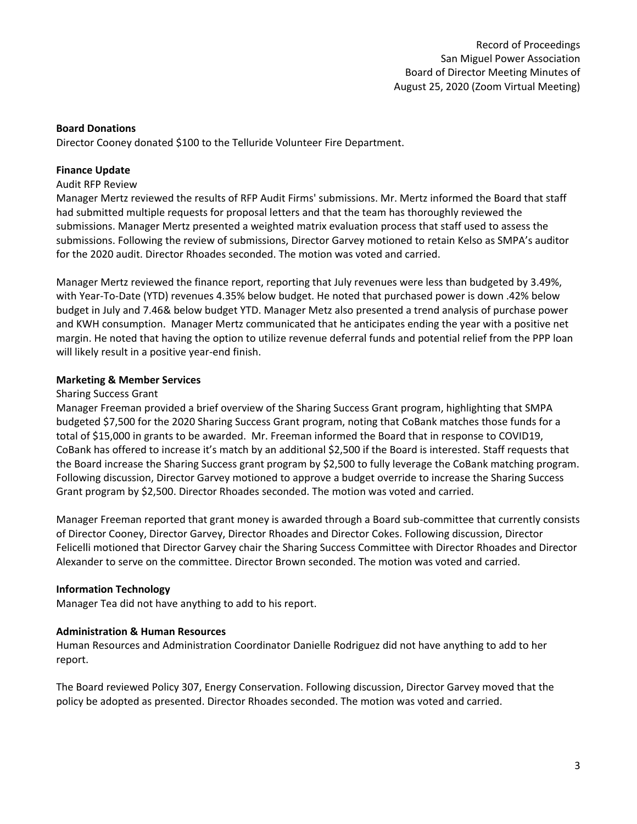# **Board Donations**

Director Cooney donated \$100 to the Telluride Volunteer Fire Department.

# **Finance Update**

#### Audit RFP Review

Manager Mertz reviewed the results of RFP Audit Firms' submissions. Mr. Mertz informed the Board that staff had submitted multiple requests for proposal letters and that the team has thoroughly reviewed the submissions. Manager Mertz presented a weighted matrix evaluation process that staff used to assess the submissions. Following the review of submissions, Director Garvey motioned to retain Kelso as SMPA's auditor for the 2020 audit. Director Rhoades seconded. The motion was voted and carried.

Manager Mertz reviewed the finance report, reporting that July revenues were less than budgeted by 3.49%, with Year-To-Date (YTD) revenues 4.35% below budget. He noted that purchased power is down .42% below budget in July and 7.46& below budget YTD. Manager Metz also presented a trend analysis of purchase power and KWH consumption. Manager Mertz communicated that he anticipates ending the year with a positive net margin. He noted that having the option to utilize revenue deferral funds and potential relief from the PPP loan will likely result in a positive year-end finish.

# **Marketing & Member Services**

#### Sharing Success Grant

Manager Freeman provided a brief overview of the Sharing Success Grant program, highlighting that SMPA budgeted \$7,500 for the 2020 Sharing Success Grant program, noting that CoBank matches those funds for a total of \$15,000 in grants to be awarded. Mr. Freeman informed the Board that in response to COVID19, CoBank has offered to increase it's match by an additional \$2,500 if the Board is interested. Staff requests that the Board increase the Sharing Success grant program by \$2,500 to fully leverage the CoBank matching program. Following discussion, Director Garvey motioned to approve a budget override to increase the Sharing Success Grant program by \$2,500. Director Rhoades seconded. The motion was voted and carried.

Manager Freeman reported that grant money is awarded through a Board sub-committee that currently consists of Director Cooney, Director Garvey, Director Rhoades and Director Cokes. Following discussion, Director Felicelli motioned that Director Garvey chair the Sharing Success Committee with Director Rhoades and Director Alexander to serve on the committee. Director Brown seconded. The motion was voted and carried.

#### **Information Technology**

Manager Tea did not have anything to add to his report.

#### **Administration & Human Resources**

Human Resources and Administration Coordinator Danielle Rodriguez did not have anything to add to her report.

The Board reviewed Policy 307, Energy Conservation. Following discussion, Director Garvey moved that the policy be adopted as presented. Director Rhoades seconded. The motion was voted and carried.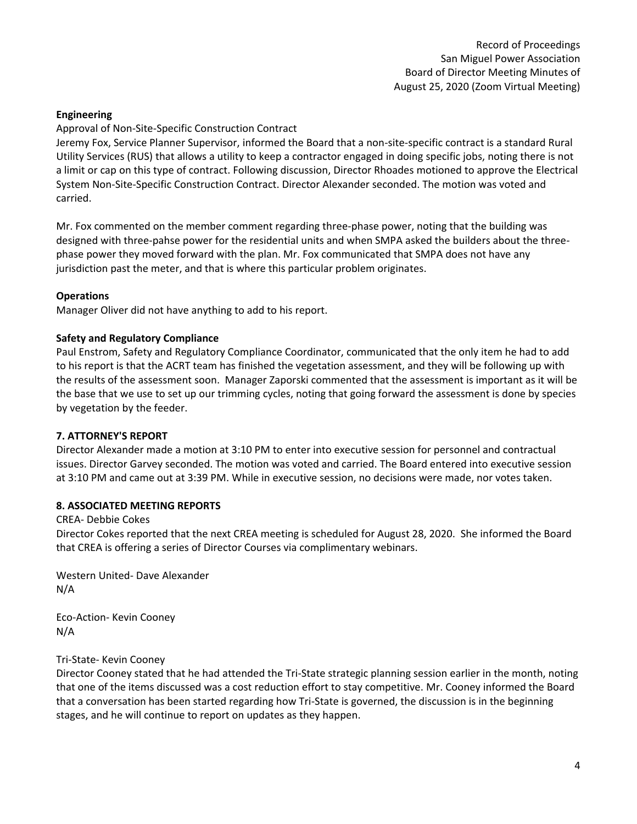# **Engineering**

#### Approval of Non-Site-Specific Construction Contract

Jeremy Fox, Service Planner Supervisor, informed the Board that a non-site-specific contract is a standard Rural Utility Services (RUS) that allows a utility to keep a contractor engaged in doing specific jobs, noting there is not a limit or cap on this type of contract. Following discussion, Director Rhoades motioned to approve the Electrical System Non-Site-Specific Construction Contract. Director Alexander seconded. The motion was voted and carried.

Mr. Fox commented on the member comment regarding three-phase power, noting that the building was designed with three-pahse power for the residential units and when SMPA asked the builders about the threephase power they moved forward with the plan. Mr. Fox communicated that SMPA does not have any jurisdiction past the meter, and that is where this particular problem originates.

#### **Operations**

Manager Oliver did not have anything to add to his report.

#### **Safety and Regulatory Compliance**

Paul Enstrom, Safety and Regulatory Compliance Coordinator, communicated that the only item he had to add to his report is that the ACRT team has finished the vegetation assessment, and they will be following up with the results of the assessment soon. Manager Zaporski commented that the assessment is important as it will be the base that we use to set up our trimming cycles, noting that going forward the assessment is done by species by vegetation by the feeder.

#### **7. ATTORNEY'S REPORT**

Director Alexander made a motion at 3:10 PM to enter into executive session for personnel and contractual issues. Director Garvey seconded. The motion was voted and carried. The Board entered into executive session at 3:10 PM and came out at 3:39 PM. While in executive session, no decisions were made, nor votes taken.

#### **8. ASSOCIATED MEETING REPORTS**

#### CREA- Debbie Cokes

Director Cokes reported that the next CREA meeting is scheduled for August 28, 2020. She informed the Board that CREA is offering a series of Director Courses via complimentary webinars.

Western United- Dave Alexander N/A

Eco-Action- Kevin Cooney N/A

Tri-State- Kevin Cooney

Director Cooney stated that he had attended the Tri-State strategic planning session earlier in the month, noting that one of the items discussed was a cost reduction effort to stay competitive. Mr. Cooney informed the Board that a conversation has been started regarding how Tri-State is governed, the discussion is in the beginning stages, and he will continue to report on updates as they happen.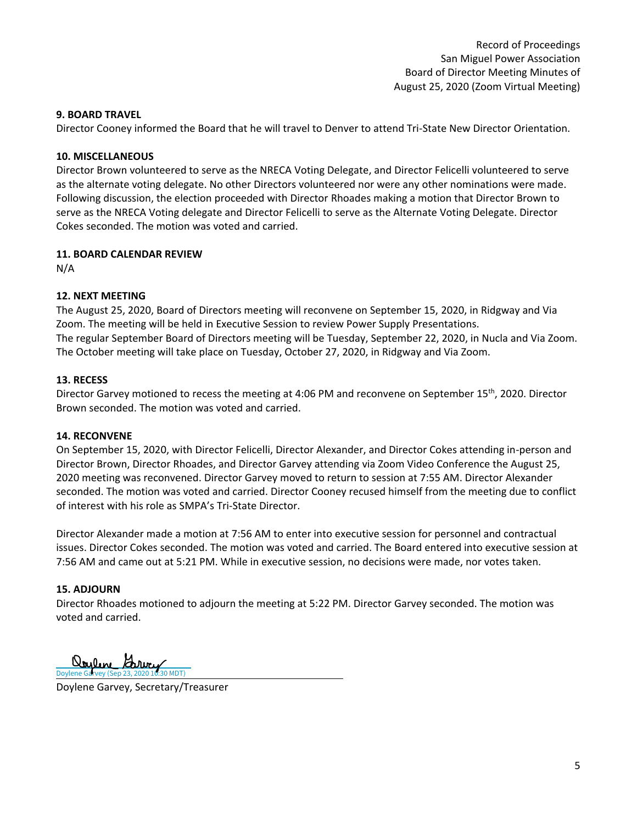# **9. BOARD TRAVEL**

Director Cooney informed the Board that he will travel to Denver to attend Tri-State New Director Orientation.

# **10. MISCELLANEOUS**

Director Brown volunteered to serve as the NRECA Voting Delegate, and Director Felicelli volunteered to serve as the alternate voting delegate. No other Directors volunteered nor were any other nominations were made. Following discussion, the election proceeded with Director Rhoades making a motion that Director Brown to serve as the NRECA Voting delegate and Director Felicelli to serve as the Alternate Voting Delegate. Director Cokes seconded. The motion was voted and carried.

# **11. BOARD CALENDAR REVIEW**

N/A

# **12. NEXT MEETING**

The August 25, 2020, Board of Directors meeting will reconvene on September 15, 2020, in Ridgway and Via Zoom. The meeting will be held in Executive Session to review Power Supply Presentations. The regular September Board of Directors meeting will be Tuesday, September 22, 2020, in Nucla and Via Zoom. The October meeting will take place on Tuesday, October 27, 2020, in Ridgway and Via Zoom.

# **13. RECESS**

Director Garvey motioned to recess the meeting at 4:06 PM and reconvene on September 15<sup>th</sup>, 2020. Director Brown seconded. The motion was voted and carried.

# **14. RECONVENE**

On September 15, 2020, with Director Felicelli, Director Alexander, and Director Cokes attending in-person and Director Brown, Director Rhoades, and Director Garvey attending via Zoom Video Conference the August 25, 2020 meeting was reconvened. Director Garvey moved to return to session at 7:55 AM. Director Alexander seconded. The motion was voted and carried. Director Cooney recused himself from the meeting due to conflict of interest with his role as SMPA's Tri-State Director.

Director Alexander made a motion at 7:56 AM to enter into executive session for personnel and contractual issues. Director Cokes seconded. The motion was voted and carried. The Board entered into executive session at 7:56 AM and came out at 5:21 PM. While in executive session, no decisions were made, nor votes taken.

# **15. ADJOURN**

Director Rhoades motioned to adjourn the meeting at 5:22 PM. Director Garvey seconded. The motion was voted and carried.

l <u>Ooylene</u> Garvey

Doylene Garvey, Secretary/Treasurer